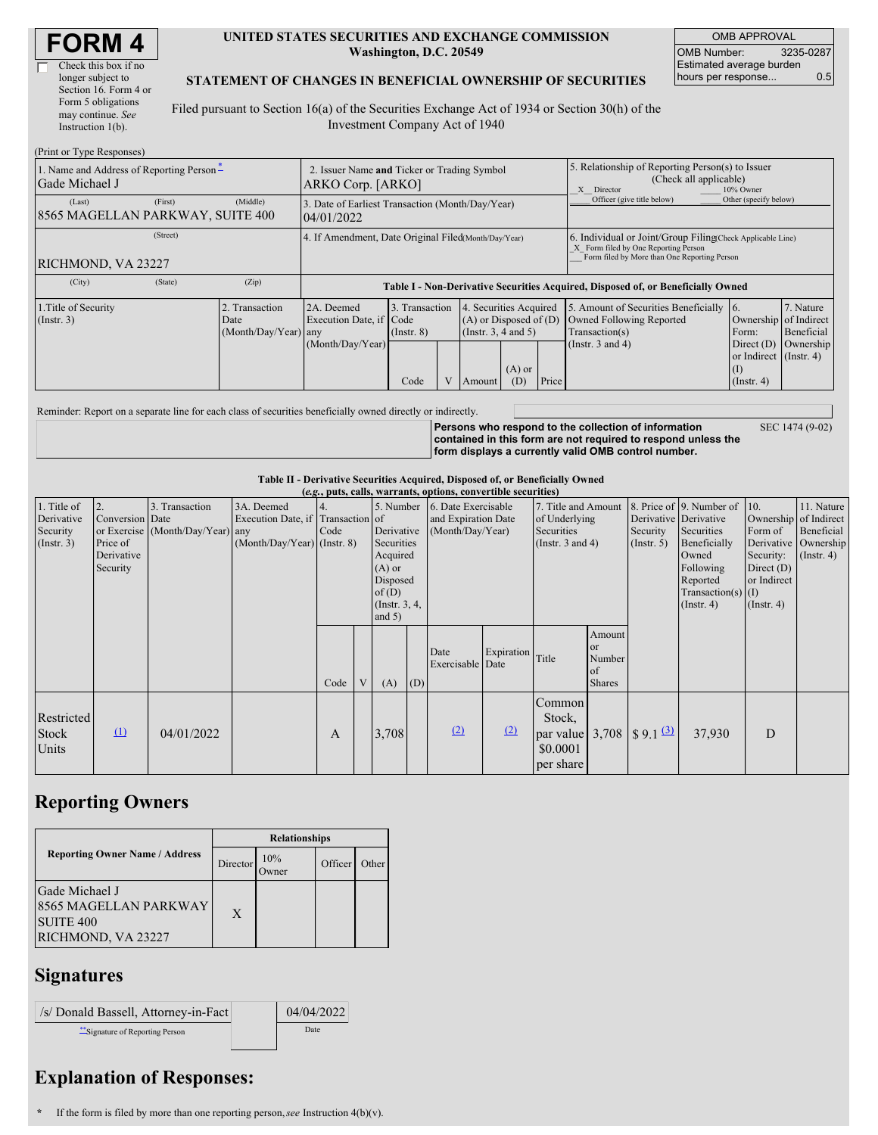| <b>FORM4</b> |
|--------------|
|--------------|

 $\Box$ 

| Check this box if no  |
|-----------------------|
| longer subject to     |
| Section 16. Form 4 or |
| Form 5 obligations    |
| may continue. See     |
| Instruction $1(b)$ .  |
|                       |

#### **UNITED STATES SECURITIES AND EXCHANGE COMMISSION Washington, D.C. 20549**

OMB APPROVAL OMB Number: 3235-0287 Estimated average burden hours per response... 0.5

### **STATEMENT OF CHANGES IN BENEFICIAL OWNERSHIP OF SECURITIES**

Filed pursuant to Section 16(a) of the Securities Exchange Act of 1934 or Section 30(h) of the Investment Company Act of 1940

| (Print or Type Responses)                                  |                                                                  |                                                                                  |                                           |  |                                                                                            |                            |                                                                                                                                                    |                                                                                                             |                                                                                                                    |                         |
|------------------------------------------------------------|------------------------------------------------------------------|----------------------------------------------------------------------------------|-------------------------------------------|--|--------------------------------------------------------------------------------------------|----------------------------|----------------------------------------------------------------------------------------------------------------------------------------------------|-------------------------------------------------------------------------------------------------------------|--------------------------------------------------------------------------------------------------------------------|-------------------------|
| 1. Name and Address of Reporting Person-<br>Gade Michael J | 2. Issuer Name and Ticker or Trading Symbol<br>ARKO Corp. [ARKO] |                                                                                  |                                           |  |                                                                                            |                            | 5. Relationship of Reporting Person(s) to Issuer<br>(Check all applicable)<br>X Director<br>10% Owner                                              |                                                                                                             |                                                                                                                    |                         |
| (First)<br>(Last)<br>8565 MAGELLAN PARKWAY, SUITE 400      | 3. Date of Earliest Transaction (Month/Day/Year)<br>04/01/2022   |                                                                                  |                                           |  |                                                                                            | Officer (give title below) | Other (specify below)                                                                                                                              |                                                                                                             |                                                                                                                    |                         |
| (Street)<br>RICHMOND, VA 23227                             | 4. If Amendment, Date Original Filed(Month/Day/Year)             |                                                                                  |                                           |  |                                                                                            |                            | 6. Individual or Joint/Group Filing Check Applicable Line)<br>X Form filed by One Reporting Person<br>Form filed by More than One Reporting Person |                                                                                                             |                                                                                                                    |                         |
| (City)<br>(State)                                          | (Zip)                                                            | Table I - Non-Derivative Securities Acquired, Disposed of, or Beneficially Owned |                                           |  |                                                                                            |                            |                                                                                                                                                    |                                                                                                             |                                                                                                                    |                         |
| 1. Title of Security<br>(Insert. 3)                        | 2. Transaction<br>Date<br>(Month/Day/Year) any                   | 2A. Deemed<br>Execution Date, if Code<br>(Month/Day/Year)                        | 3. Transaction<br>$($ Instr. $8)$<br>Code |  | 4. Securities Acquired<br>$(A)$ or Disposed of $(D)$<br>(Instr. $3, 4$ and $5$ )<br>Amount | $(A)$ or<br>(D)            | Price                                                                                                                                              | 5. Amount of Securities Beneficially<br>Owned Following Reported<br>Transaction(s)<br>(Instr. $3$ and $4$ ) | 16.<br>Ownership of Indirect<br>Form:<br>Direct (D) Ownership<br>or Indirect (Instr. 4)<br>(1)<br>$($ Instr. 4 $)$ | 7. Nature<br>Beneficial |

Reminder: Report on a separate line for each class of securities beneficially owned directly or indirectly.

**Persons who respond to the collection of information contained in this form are not required to respond unless the form displays a currently valid OMB control number.** SEC 1474 (9-02)

**Table II - Derivative Securities Acquired, Disposed of, or Beneficially Owned**

| (e.g., puts, calls, warrants, options, convertible securities) |                                                             |                                                    |                                                                                  |      |   |                               |                                                                                                                                                 |                          |                                                                             |                                                                |                                                       |                                                                                                                                       |                                                                                             |                                                                      |  |
|----------------------------------------------------------------|-------------------------------------------------------------|----------------------------------------------------|----------------------------------------------------------------------------------|------|---|-------------------------------|-------------------------------------------------------------------------------------------------------------------------------------------------|--------------------------|-----------------------------------------------------------------------------|----------------------------------------------------------------|-------------------------------------------------------|---------------------------------------------------------------------------------------------------------------------------------------|---------------------------------------------------------------------------------------------|----------------------------------------------------------------------|--|
| 1. Title of<br>Derivative<br>Security<br>$($ Instr. 3 $)$      | 2.<br>Conversion Date<br>Price of<br>Derivative<br>Security | 3. Transaction<br>or Exercise (Month/Day/Year) any | 3A. Deemed<br>Execution Date, if Transaction of<br>$(Month/Day/Year)$ (Instr. 8) | Code |   | $(A)$ or<br>of(D)<br>and $5)$ | 5. Number 6. Date Exercisable<br>and Expiration Date<br>Derivative<br>(Month/Day/Year)<br>Securities<br>Acquired<br>Disposed<br>(Instr. $3, 4,$ |                          | 7. Title and Amount<br>of Underlying<br>Securities<br>(Instr. $3$ and $4$ ) |                                                                | Derivative Derivative<br>Security<br>$($ Instr. 5 $)$ | 8. Price of 9. Number of 10.<br>Securities<br>Beneficially<br>Owned<br>Following<br>Reported<br>Transaction(s) $(I)$<br>$($ Instr. 4) | Ownership of Indirect<br>Form of<br>Security:<br>Direct $(D)$<br>or Indirect<br>(Insert. 4) | 11. Nature<br>Beneficial<br>Derivative Ownership<br>$($ Instr. 4 $)$ |  |
|                                                                |                                                             |                                                    |                                                                                  | Code | V | (A)                           | (D)                                                                                                                                             | Date<br>Exercisable Date | Expiration Title                                                            |                                                                | Amount<br>or<br>Number<br>of<br><b>Shares</b>         |                                                                                                                                       |                                                                                             |                                                                      |  |
| Restricted<br>Stock<br>Units                                   | $\Omega$                                                    | 04/01/2022                                         |                                                                                  | A    |   | 3,708                         |                                                                                                                                                 | (2)                      | (2)                                                                         | Common<br>Stock,<br>par value $3,708$<br>\$0.0001<br>per share |                                                       | $\frac{1}{3}$ 9.1 $\frac{(3)}{2}$                                                                                                     | 37,930                                                                                      | D                                                                    |  |

## **Reporting Owners**

|                                                                                       | <b>Relationships</b> |                      |         |       |  |  |  |
|---------------------------------------------------------------------------------------|----------------------|----------------------|---------|-------|--|--|--|
| <b>Reporting Owner Name / Address</b>                                                 | Director             | 10%<br><b>J</b> wner | Officer | Other |  |  |  |
| Gade Michael J<br>8565 MAGELLAN PARKWAY<br>SUITE <sub>400</sub><br>RICHMOND, VA 23227 | X                    |                      |         |       |  |  |  |

# **Signatures**

| /s/ Donald Bassell, Attorney-in-Fact | 04/04/2022 |
|--------------------------------------|------------|
| Signature of Reporting Person        | Date       |

# **Explanation of Responses:**

**\*** If the form is filed by more than one reporting person,*see* Instruction 4(b)(v).